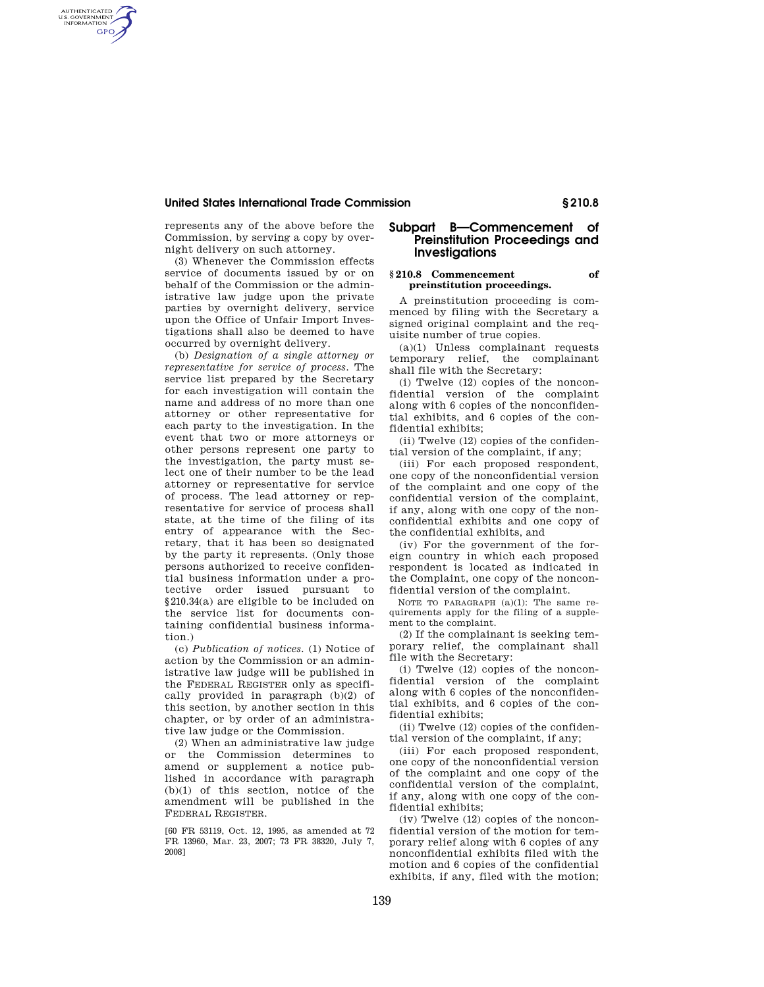### **United States International Trade Commission § 210.8**

represents any of the above before the Commission, by serving a copy by overnight delivery on such attorney.

AUTHENTICATED<br>U.S. GOVERNMENT<br>INFORMATION **GPO** 

> (3) Whenever the Commission effects service of documents issued by or on behalf of the Commission or the administrative law judge upon the private parties by overnight delivery, service upon the Office of Unfair Import Investigations shall also be deemed to have occurred by overnight delivery.

> (b) *Designation of a single attorney or representative for service of process.* The service list prepared by the Secretary for each investigation will contain the name and address of no more than one attorney or other representative for each party to the investigation. In the event that two or more attorneys or other persons represent one party to the investigation, the party must select one of their number to be the lead attorney or representative for service of process. The lead attorney or representative for service of process shall state, at the time of the filing of its entry of appearance with the Secretary, that it has been so designated by the party it represents. (Only those persons authorized to receive confidential business information under a protective order issued pursuant to §210.34(a) are eligible to be included on the service list for documents containing confidential business information.)

> (c) *Publication of notices.* (1) Notice of action by the Commission or an administrative law judge will be published in the FEDERAL REGISTER only as specifically provided in paragraph (b)(2) of this section, by another section in this chapter, or by order of an administrative law judge or the Commission.

> (2) When an administrative law judge or the Commission determines to amend or supplement a notice published in accordance with paragraph (b)(1) of this section, notice of the amendment will be published in the FEDERAL REGISTER.

> [60 FR 53119, Oct. 12, 1995, as amended at 72 FR 13960, Mar. 23, 2007; 73 FR 38320, July 7, 2008]

# **Subpart B—Commencement of Preinstitution Proceedings and Investigations**

### **§ 210.8 Commencement of preinstitution proceedings.**

A preinstitution proceeding is commenced by filing with the Secretary a signed original complaint and the requisite number of true copies.

(a)(1) Unless complainant requests temporary relief, the complainant shall file with the Secretary:

(i) Twelve (12) copies of the nonconfidential version of the complaint along with 6 copies of the nonconfidential exhibits, and 6 copies of the confidential exhibits;

(ii) Twelve (12) copies of the confidential version of the complaint, if any;

(iii) For each proposed respondent, one copy of the nonconfidential version of the complaint and one copy of the confidential version of the complaint, if any, along with one copy of the nonconfidential exhibits and one copy of the confidential exhibits, and

(iv) For the government of the foreign country in which each proposed respondent is located as indicated in the Complaint, one copy of the nonconfidential version of the complaint.

NOTE TO PARAGRAPH  $(a)(1)$ : The same requirements apply for the filing of a supplement to the complaint.

(2) If the complainant is seeking temporary relief, the complainant shall file with the Secretary:

(i) Twelve (12) copies of the nonconfidential version of the complaint along with 6 copies of the nonconfidential exhibits, and 6 copies of the confidential exhibits;

(ii) Twelve (12) copies of the confidential version of the complaint, if any;

(iii) For each proposed respondent, one copy of the nonconfidential version of the complaint and one copy of the confidential version of the complaint, if any, along with one copy of the confidential exhibits;

(iv) Twelve (12) copies of the nonconfidential version of the motion for temporary relief along with 6 copies of any nonconfidential exhibits filed with the motion and 6 copies of the confidential exhibits, if any, filed with the motion;